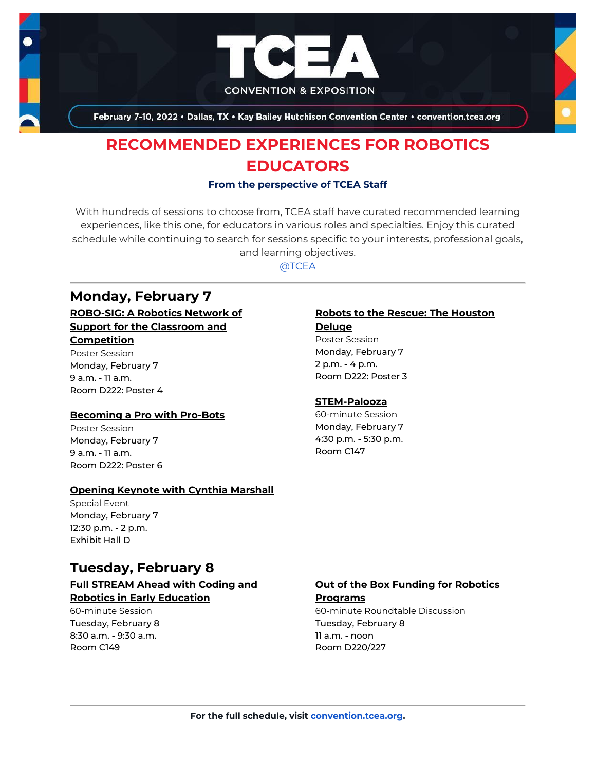

February 7-10, 2022 . Dallas, TX . Kay Bailey Hutchison Convention Center . convention.tcea.org

# **RECOMMENDED EXPERIENCES FOR ROBOTICS EDUCATORS**

### **From the perspective of TCEA Staff**

With hundreds of sessions to choose from, TCEA staff have curated recommended learning experiences, like this one, for educators in various roles and specialties. Enjoy this curated schedule while continuing to search for sessions specific to your interests, professional goals, and learning objectives.

[@TCEA](https://twitter.com/TCEA)

### **Monday, February 7**

**[ROBO-SIG: A Robotics Network of](https://register.tcea.org/2022/session_list.cfm?session_key=023FA775-F04D-A206-2B64-0E61B173E544&session_date=Monday,%20Feb%2007,%202022)  [Support for the Classroom and](https://register.tcea.org/2022/session_list.cfm?session_key=023FA775-F04D-A206-2B64-0E61B173E544&session_date=Monday,%20Feb%2007,%202022)** 

### **[Competition](https://register.tcea.org/2022/session_list.cfm?session_key=023FA775-F04D-A206-2B64-0E61B173E544&session_date=Monday,%20Feb%2007,%202022)**

Poster Session Monday, February 7 9 a.m. - 11 a.m. Room D222: Poster 4

### **[Becoming a Pro with Pro-Bots](https://register.tcea.org/2022/session_list.cfm?session_key=0231950F-F04D-A206-2B64-8FB2325FB06D&session_date=Monday,%20Feb%2007,%202022)**

Poster Session Monday, February 7 9 a.m. - 11 a.m. Room D222: Poster 6

### **[Opening Keynote with Cynthia Marshall](https://register.tcea.org/2022/session_list.cfm?session_key=5F0745B8-F04D-A206-2B64-0D4631096E34&session_date=Monday,%20Feb%2007,%202022)**

Special Event Monday, February 7 12:30 p.m. - 2 p.m. Exhibit Hall D

### **Tuesday, February 8**

### **[Full STREAM Ahead with Coding and](https://register.tcea.org/2022/session_list.cfm?session_key=02381840-F04D-A206-2B64-D6FA04479AF3&session_date=Tuesday,%20Feb%2008,%202022)  [Robotics in Early Education](https://register.tcea.org/2022/session_list.cfm?session_key=02381840-F04D-A206-2B64-D6FA04479AF3&session_date=Tuesday,%20Feb%2008,%202022)**

60-minute Session Tuesday, February 8 8:30 a.m. - 9:30 a.m. Room C149

### **[Robots to the Rescue: The Houston](https://register.tcea.org/2022/session_list.cfm?session_key=023FBB89-F04D-A206-2B64-1774EAFC427D&session_date=Monday,%20Feb%2007,%202022)**

#### **[Deluge](https://register.tcea.org/2022/session_list.cfm?session_key=023FBB89-F04D-A206-2B64-1774EAFC427D&session_date=Monday,%20Feb%2007,%202022)**

Poster Session Monday, February 7 2 p.m. - 4 p.m. Room D222: Poster 3

### **[STEM-Palooza](https://register.tcea.org/2022/session_list.cfm?session_key=024132A6-F04D-A206-2B64-D212961760C6&session_date=Monday,%20Feb%2007,%202022)**

60-minute Session Monday, February 7 4:30 p.m. - 5:30 p.m. Room C147

### **[Out of the Box Funding for Robotics](https://register.tcea.org/2022/session_list.cfm?session_key=02382F63-F04D-A206-2B64-761F67D2709B&session_date=Tuesday,%20Feb%2008,%202022)  [Programs](https://register.tcea.org/2022/session_list.cfm?session_key=02382F63-F04D-A206-2B64-761F67D2709B&session_date=Tuesday,%20Feb%2008,%202022)**

60-minute Roundtable Discussion Tuesday, February 8 11 a.m. - noon Room D220/227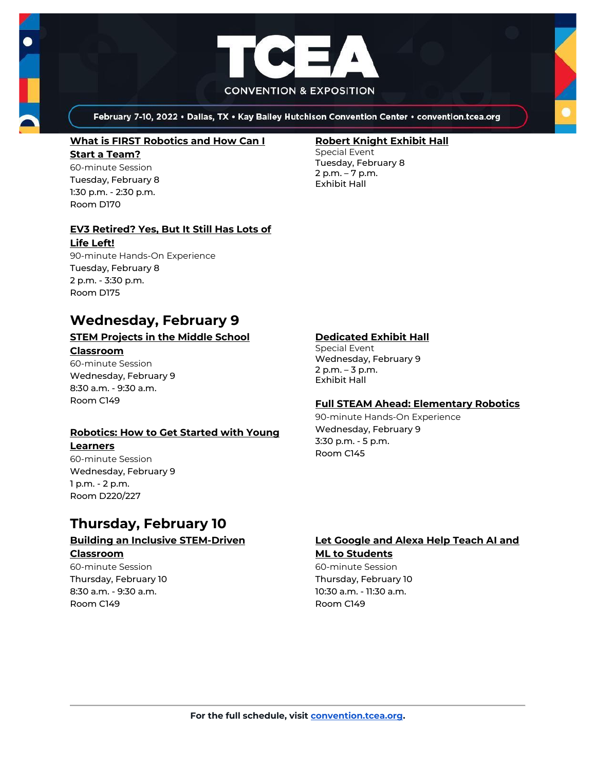

February 7-10, 2022 . Dallas, TX . Kay Bailey Hutchison Convention Center . convention.tcea.org

#### **[What is FIRST Robotics and How Can I](https://register.tcea.org/2022/session_list.cfm?session_key=0245F34E-F04D-A206-2B64-77B27760B015&session_date=Tuesday,%20Feb%2008,%202022)**

**[Start a Team?](https://register.tcea.org/2022/session_list.cfm?session_key=0245F34E-F04D-A206-2B64-77B27760B015&session_date=Tuesday,%20Feb%2008,%202022)** 60-minute Session Tuesday, February 8 1:30 p.m. - 2:30 p.m. Room D170

### **[EV3 Retired? Yes, But It Still Has Lots of](https://register.tcea.org/2022/session_list.cfm?session_key=F203DD98-F04D-A206-2B64-5D724C03DC61&session_date=Tuesday,%20Feb%2008,%202022)**

#### **[Life Left!](https://register.tcea.org/2022/session_list.cfm?session_key=F203DD98-F04D-A206-2B64-5D724C03DC61&session_date=Tuesday,%20Feb%2008,%202022)**

90-minute Hands-On Experience Tuesday, February 8 2 p.m. - 3:30 p.m. Room D175

### **Wednesday, February 9**

### **[STEM Projects in the Middle School](https://register.tcea.org/2022/session_list.cfm?session_key=024127A7-F04D-A206-2B64-33605103A519&session_date=Wednesday,%20Feb%2009,%202022)  [Classroom](https://register.tcea.org/2022/session_list.cfm?session_key=024127A7-F04D-A206-2B64-33605103A519&session_date=Wednesday,%20Feb%2009,%202022)**

60-minute Session Wednesday, February 9 8:30 a.m. - 9:30 a.m. Room C149

### **[Robotics: How to Get Started with Young](https://register.tcea.org/2022/session_list.cfm?session_key=023FB26E-F04D-A206-2B64-FD09EB1EF4C0&session_date=Wednesday,%20Feb%2009,%202022)**

#### **[Learners](https://register.tcea.org/2022/session_list.cfm?session_key=023FB26E-F04D-A206-2B64-FD09EB1EF4C0&session_date=Wednesday,%20Feb%2009,%202022)**

60-minute Session Wednesday, February 9 1 p.m. - 2 p.m. Room D220/227

# **Thursday, February 10**

### **[Building an Inclusive STEM-Driven](https://register.tcea.org/2022/session_list.cfm?session_key=02328F1C-F04D-A206-2B64-5F86BB5BB5EE&session_date=Thursday,%20Feb%2010,%202022)  [Classroom](https://register.tcea.org/2022/session_list.cfm?session_key=02328F1C-F04D-A206-2B64-5F86BB5BB5EE&session_date=Thursday,%20Feb%2010,%202022)**

60-minute Session Thursday, February 10 8:30 a.m. - 9:30 a.m. Room C149

### **[Robert Knight Exhibit Hall](https://register.tcea.org/2022/session_list.cfm?session_key=61CDF249-F04D-A206-2B64-15D6559D2515&session_date=Tuesday,%20Feb%2008,%202022)**

Special Event Tuesday, February 8 2 p.m. – 7 p.m. Exhibit Hall

### **[Dedicated Exhibit Hall](https://register.tcea.org/2022/session_list.cfm?session_key=61CDD8E6-F04D-A206-2B64-74AAAD8173D7&session_date=Wednesday,%20Feb%2009,%202022)**

Special Event Wednesday, February 9 2 p.m. – 3 p.m. Exhibit Hall

### **[Full STEAM Ahead: Elementary Robotics](https://register.tcea.org/2022/session_list.cfm?session_key=023807A5-F04D-A206-2B64-5355EB4F93B6&session_date=Wednesday,%20Feb%2009,%202022)**

90-minute Hands-On Experience Wednesday, February 9 3:30 p.m. - 5 p.m. Room C145

### **[Let Google and Alexa Help Teach AI and](https://register.tcea.org/2022/session_list.cfm?session_key=023C6F4E-F04D-A206-2B64-CB6755159113&session_date=Thursday,%20Feb%2010,%202022)  [ML to Students](https://register.tcea.org/2022/session_list.cfm?session_key=023C6F4E-F04D-A206-2B64-CB6755159113&session_date=Thursday,%20Feb%2010,%202022)**

60-minute Session Thursday, February 10 10:30 a.m. - 11:30 a.m. Room C149